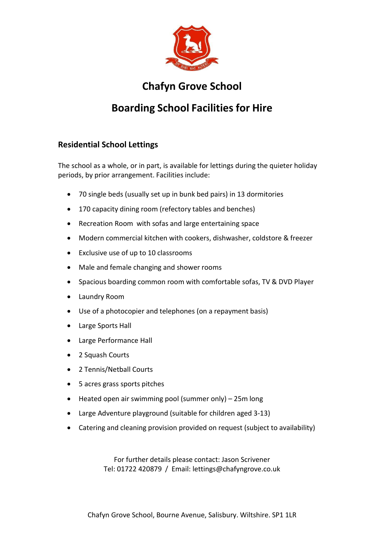

## **Chafyn Grove School**

## **Boarding School Facilities for Hire**

## **Residential School Lettings**

The school as a whole, or in part, is available for lettings during the quieter holiday periods, by prior arrangement. Facilities include:

- 70 single beds (usually set up in bunk bed pairs) in 13 dormitories
- 170 capacity dining room (refectory tables and benches)
- Recreation Room with sofas and large entertaining space
- Modern commercial kitchen with cookers, dishwasher, coldstore & freezer
- Exclusive use of up to 10 classrooms
- Male and female changing and shower rooms
- Spacious boarding common room with comfortable sofas, TV & DVD Player
- Laundry Room
- Use of a photocopier and telephones (on a repayment basis)
- Large Sports Hall
- Large Performance Hall
- 2 Squash Courts
- 2 Tennis/Netball Courts
- 5 acres grass sports pitches
- Heated open air swimming pool (summer only) 25m long
- Large Adventure playground (suitable for children aged 3-13)
- Catering and cleaning provision provided on request (subject to availability)

For further details please contact: Jason Scrivener Tel: 01722 420879 / Email: [lettings@chafyngrove.co.uk](mailto:lettings@chafyngrove.co.uk)